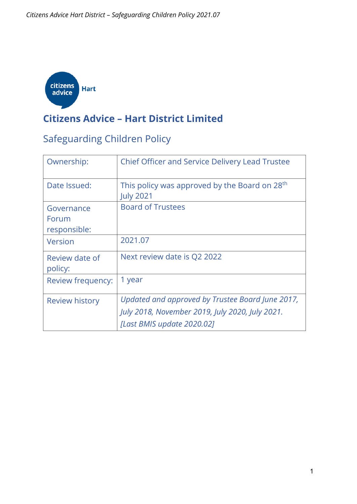

#### **Citizens Advice – Hart District Limited**

#### Safeguarding Children Policy

| Ownership:                | <b>Chief Officer and Service Delivery Lead Trustee</b>                        |
|---------------------------|-------------------------------------------------------------------------------|
| Date Issued:              | This policy was approved by the Board on 28 <sup>th</sup><br><b>July 2021</b> |
| Governance                | <b>Board of Trustees</b>                                                      |
| Forum                     |                                                                               |
| responsible:              |                                                                               |
| Version                   | 2021.07                                                                       |
| Review date of<br>policy: | Next review date is Q2 2022                                                   |
| Review frequency:         | 1 year                                                                        |
| <b>Review history</b>     | Updated and approved by Trustee Board June 2017,                              |
|                           | July 2018, November 2019, July 2020, July 2021.                               |
|                           | [Last BMIS update 2020.02]                                                    |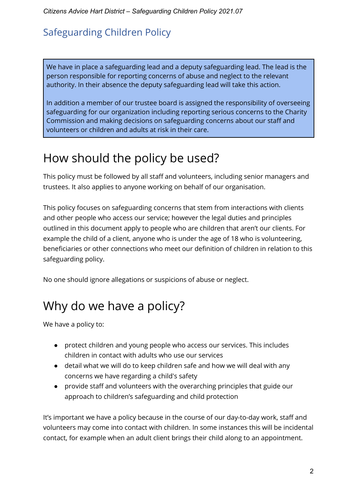#### Safeguarding Children Policy

We have in place a safeguarding lead and a deputy safeguarding lead. The lead is the person responsible for reporting concerns of abuse and neglect to the relevant authority. In their absence the deputy safeguarding lead will take this action.

In addition a member of our trustee board is assigned the responsibility of overseeing safeguarding for our organization including reporting serious concerns to the Charity Commission and making decisions on safeguarding concerns about our staff and volunteers or children and adults at risk in their care.

#### How should the policy be used?

This policy must be followed by all staff and volunteers, including senior managers and trustees. It also applies to anyone working on behalf of our organisation.

This policy focuses on safeguarding concerns that stem from interactions with clients and other people who access our service; however the legal duties and principles outlined in this document apply to people who are children that aren't our clients. For example the child of a client, anyone who is under the age of 18 who is volunteering, beneficiaries or other connections who meet our definition of children in relation to this safeguarding policy.

No one should ignore allegations or suspicions of abuse or neglect.

## Why do we have a policy?

We have a policy to:

- protect children and young people who access our services. This includes children in contact with adults who use our services
- detail what we will do to keep children safe and how we will deal with any concerns we have regarding a child's safety
- provide staff and volunteers with the overarching principles that guide our approach to children's safeguarding and child protection

It's important we have a policy because in the course of our day-to-day work, staff and volunteers may come into contact with children. In some instances this will be incidental contact, for example when an adult client brings their child along to an appointment.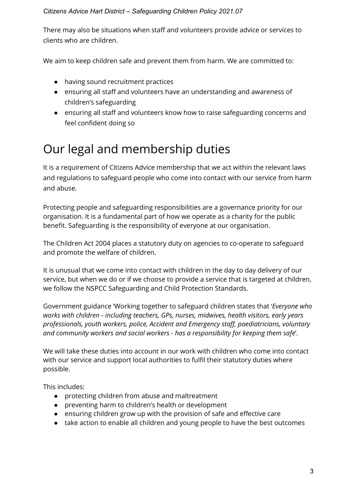There may also be situations when staff and volunteers provide advice or services to clients who are children.

We aim to keep children safe and prevent them from harm. We are committed to:

- having sound recruitment practices
- ensuring all staff and volunteers have an understanding and awareness of children's safeguarding
- ensuring all staff and volunteers know how to raise safeguarding concerns and feel confident doing so

#### Our legal and membership duties

It is a requirement of Citizens Advice membership that we act within the relevant laws and regulations to safeguard people who come into contact with our service from harm and abuse.

Protecting people and safeguarding responsibilities are a governance priority for our organisation. It is a fundamental part of how we operate as a charity for the public benefit. Safeguarding is the responsibility of everyone at our organisation.

The Children Act 2004 places a statutory duty on agencies to co-operate to safeguard and promote the welfare of children.

It is unusual that we come into contact with children in the day to day delivery of our service, but when we do or if we choose to provide a service that is targeted at children, we follow the NSPCC Safeguarding and Child Protection Standards.

Government guidance 'Working together to safeguard children states that '*Everyone who works with children - including teachers, GPs, nurses, midwives, health visitors, early years professionals, youth workers, police, Accident and Emergency staff, paediatricians, voluntary and community workers and social workers - has a responsibility for keeping them safe*'.

We will take these duties into account in our work with children who come into contact with our service and support local authorities to fulfil their statutory duties where possible.

This includes:

- protecting children from abuse and maltreatment
- preventing harm to children's health or development
- ensuring children grow up with the provision of safe and effective care
- take action to enable all children and young people to have the best outcomes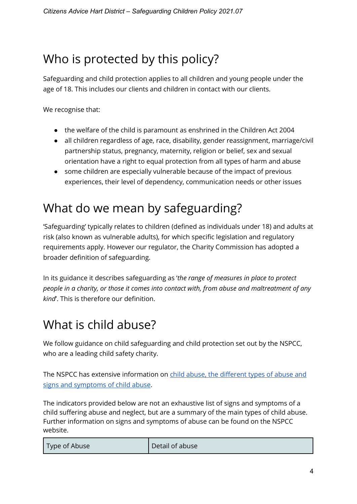#### Who is protected by this policy?

Safeguarding and child protection applies to all children and young people under the age of 18. This includes our clients and children in contact with our clients.

We recognise that:

- the welfare of the child is paramount as enshrined in the Children Act 2004
- all children regardless of age, race, disability, gender reassignment, marriage/civil partnership status, pregnancy, maternity, religion or belief, sex and sexual orientation have a right to equal protection from all types of harm and abuse
- some children are especially vulnerable because of the impact of previous experiences, their level of dependency, communication needs or other issues

## What do we mean by safeguarding?

'Safeguarding' typically relates to children (defined as individuals under 18) and adults at risk (also known as vulnerable adults), for which specific legislation and regulatory requirements apply. However our regulator, the Charity Commission has adopted a broader definition of safeguarding.

In its guidance it describes safeguarding as '*the range of measures in place to protect people in a charity, or those it comes into contact with, from abuse and maltreatment of any kind*'. This is therefore our definition.

## What is child abuse?

We follow guidance on child safeguarding and child protection set out by the NSPCC, who are a leading child safety charity.

The NSPCC has extensive information on child abuse, the different types of abuse and [signs and symptoms of child abuse.](https://www.nspcc.org.uk/preventing-abuse/child-abuse-and-neglect/)

The indicators provided below are not an exhaustive list of signs and symptoms of a child suffering abuse and neglect, but are a summary of the main types of child abuse. Further information on signs and symptoms of abuse can be found on the NSPCC website.

| Type of Abuse | Detail of abuse |
|---------------|-----------------|
|---------------|-----------------|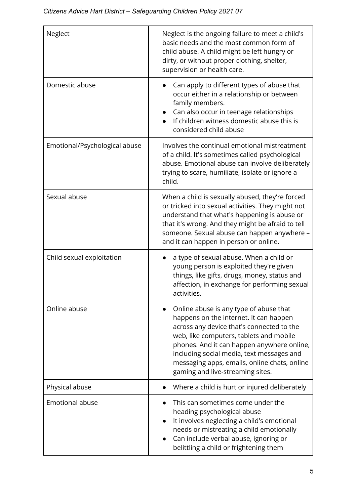| Neglect                       | Neglect is the ongoing failure to meet a child's<br>basic needs and the most common form of<br>child abuse. A child might be left hungry or<br>dirty, or without proper clothing, shelter,<br>supervision or health care.                                                                                                                               |
|-------------------------------|---------------------------------------------------------------------------------------------------------------------------------------------------------------------------------------------------------------------------------------------------------------------------------------------------------------------------------------------------------|
| Domestic abuse                | Can apply to different types of abuse that<br>occur either in a relationship or between<br>family members.<br>Can also occur in teenage relationships<br>If children witness domestic abuse this is<br>considered child abuse                                                                                                                           |
| Emotional/Psychological abuse | Involves the continual emotional mistreatment<br>of a child. It's sometimes called psychological<br>abuse. Emotional abuse can involve deliberately<br>trying to scare, humiliate, isolate or ignore a<br>child.                                                                                                                                        |
| Sexual abuse                  | When a child is sexually abused, they're forced<br>or tricked into sexual activities. They might not<br>understand that what's happening is abuse or<br>that it's wrong. And they might be afraid to tell<br>someone. Sexual abuse can happen anywhere -<br>and it can happen in person or online.                                                      |
| Child sexual exploitation     | a type of sexual abuse. When a child or<br>young person is exploited they're given<br>things, like gifts, drugs, money, status and<br>affection, in exchange for performing sexual<br>activities.                                                                                                                                                       |
| Online abuse                  | Online abuse is any type of abuse that<br>happens on the internet. It can happen<br>across any device that's connected to the<br>web, like computers, tablets and mobile<br>phones. And it can happen anywhere online,<br>including social media, text messages and<br>messaging apps, emails, online chats, online<br>gaming and live-streaming sites. |
| Physical abuse                | Where a child is hurt or injured deliberately                                                                                                                                                                                                                                                                                                           |
| <b>Emotional abuse</b>        | This can sometimes come under the<br>heading psychological abuse<br>It involves neglecting a child's emotional<br>needs or mistreating a child emotionally<br>Can include verbal abuse, ignoring or<br>belittling a child or frightening them                                                                                                           |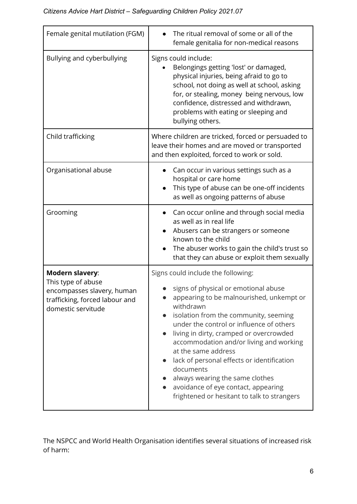| Female genital mutilation (FGM)                                                                                                    | The ritual removal of some or all of the<br>female genitalia for non-medical reasons                                                                                                                                                                                                                                                                                                                                                                                                                                                                             |
|------------------------------------------------------------------------------------------------------------------------------------|------------------------------------------------------------------------------------------------------------------------------------------------------------------------------------------------------------------------------------------------------------------------------------------------------------------------------------------------------------------------------------------------------------------------------------------------------------------------------------------------------------------------------------------------------------------|
| Bullying and cyberbullying                                                                                                         | Signs could include:<br>Belongings getting 'lost' or damaged,<br>physical injuries, being afraid to go to<br>school, not doing as well at school, asking<br>for, or stealing, money being nervous, low<br>confidence, distressed and withdrawn,<br>problems with eating or sleeping and<br>bullying others.                                                                                                                                                                                                                                                      |
| Child trafficking                                                                                                                  | Where children are tricked, forced or persuaded to<br>leave their homes and are moved or transported<br>and then exploited, forced to work or sold.                                                                                                                                                                                                                                                                                                                                                                                                              |
| Organisational abuse                                                                                                               | Can occur in various settings such as a<br>hospital or care home<br>This type of abuse can be one-off incidents<br>as well as ongoing patterns of abuse                                                                                                                                                                                                                                                                                                                                                                                                          |
| Grooming                                                                                                                           | Can occur online and through social media<br>as well as in real life<br>Abusers can be strangers or someone<br>known to the child<br>The abuser works to gain the child's trust so<br>that they can abuse or exploit them sexually                                                                                                                                                                                                                                                                                                                               |
| <b>Modern slavery:</b><br>This type of abuse<br>encompasses slavery, human<br>trafficking, forced labour and<br>domestic servitude | Signs could include the following:<br>signs of physical or emotional abuse<br>appearing to be malnourished, unkempt or<br>withdrawn<br>isolation from the community, seeming<br>$\bullet$<br>under the control or influence of others<br>living in dirty, cramped or overcrowded<br>$\bullet$<br>accommodation and/or living and working<br>at the same address<br>lack of personal effects or identification<br>$\bullet$<br>documents<br>always wearing the same clothes<br>avoidance of eye contact, appearing<br>frightened or hesitant to talk to strangers |

The NSPCC and World Health Organisation identifies several situations of increased risk of harm: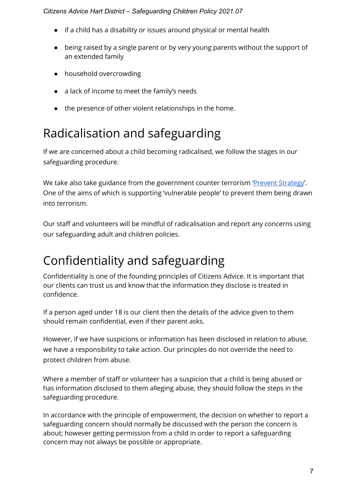- if a child has a disability or issues around physical or mental health
- being raised by a single parent or by very young parents without the support of an extended family
- household overcrowding
- a lack of income to meet the family's needs
- the presence of other violent relationships in the home.

## Radicalisation and safeguarding

If we are concerned about a child becoming radicalised, we follow the stages in our safeguarding procedure.

We take also take guidance from the government counter terrorism '*Prevent Strategy'*. One of the aims of which is supporting 'vulnerable people' to prevent them being drawn into terrorism.

Our staff and volunteers will be mindful of radicalisation and report any concerns using our safeguarding adult and children policies.

## Confidentiality and safeguarding

Confidentiality is one of the founding principles of Citizens Advice. It is important that our clients can trust us and know that the information they disclose is treated in confidence.

If a person aged under 18 is our client then the details of the advice given to them should remain confidential, even if their parent asks.

However, if we have suspicions or information has been disclosed in relation to abuse, we have a responsibility to take action. Our principles do not override the need to protect children from abuse.

Where a member of staff or volunteer has a suspicion that a child is being abused or has information disclosed to them alleging abuse, they should follow the steps in the safeguarding procedure.

In accordance with the principle of empowerment, the decision on whether to report a safeguarding concern should normally be discussed with the person the concern is about; however getting permission from a child in order to report a safeguarding concern may not always be possible or appropriate.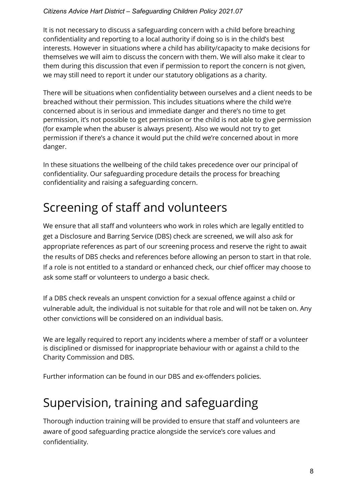It is not necessary to discuss a safeguarding concern with a child before breaching confidentiality and reporting to a local authority if doing so is in the child's best interests. However in situations where a child has ability/capacity to make decisions for themselves we will aim to discuss the concern with them. We will also make it clear to them during this discussion that even if permission to report the concern is not given, we may still need to report it under our statutory obligations as a charity.

There will be situations when confidentiality between ourselves and a client needs to be breached without their permission. This includes situations where the child we're concerned about is in serious and immediate danger and there's no time to get permission, it's not possible to get permission or the child is not able to give permission (for example when the abuser is always present). Also we would not try to get permission if there's a chance it would put the child we're concerned about in more danger.

In these situations the wellbeing of the child takes precedence over our principal of confidentiality. Our safeguarding procedure details the process for breaching confidentiality and raising a safeguarding concern.

#### Screening of staff and volunteers

We ensure that all staff and volunteers who work in roles which are legally entitled to get a Disclosure and Barring Service (DBS) check are screened, we will also ask for appropriate references as part of our screening process and reserve the right to await the results of DBS checks and references before allowing an person to start in that role. If a role is not entitled to a standard or enhanced check, our chief officer may choose to ask some staff or volunteers to undergo a basic check.

If a DBS check reveals an unspent conviction for a sexual offence against a child or vulnerable adult, the individual is not suitable for that role and will not be taken on. Any other convictions will be considered on an individual basis.

We are legally required to report any incidents where a member of staff or a volunteer is disciplined or dismissed for inappropriate behaviour with or against a child to the Charity Commission and DBS.

Further information can be found in our DBS and ex-offenders policies.

#### Supervision, training and safeguarding

Thorough induction training will be provided to ensure that staff and volunteers are aware of good safeguarding practice alongside the service's core values and confidentiality.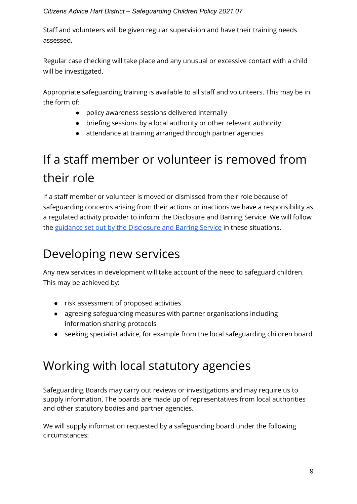Staff and volunteers will be given regular supervision and have their training needs assessed.

Regular case checking will take place and any unusual or excessive contact with a child will be investigated.

Appropriate safeguarding training is available to all staff and volunteers. This may be in the form of:

- policy awareness sessions delivered internally
- briefing sessions by a local authority or other relevant authority
- attendance at training arranged through partner agencies

# If a staff member or volunteer is removed from their role

If a staff member or volunteer is moved or dismissed from their role because of safeguarding concerns arising from their actions or inactions we have a responsibility as a regulated activity provider to inform the Disclosure and Barring Service. We will follow the [guidance set out by the Disclosure and Barring Service](https://www.gov.uk/guidance/making-barring-referrals-to-the-dbs) in these situations.

# Developing new services

Any new services in development will take account of the need to safeguard children. This may be achieved by:

- risk assessment of proposed activities
- agreeing safeguarding measures with partner organisations including information sharing protocols
- seeking specialist advice, for example from the local safeguarding children board

## Working with local statutory agencies

Safeguarding Boards may carry out reviews or investigations and may require us to supply information. The boards are made up of representatives from local authorities and other statutory bodies and partner agencies.

We will supply information requested by a safeguarding board under the following circumstances: